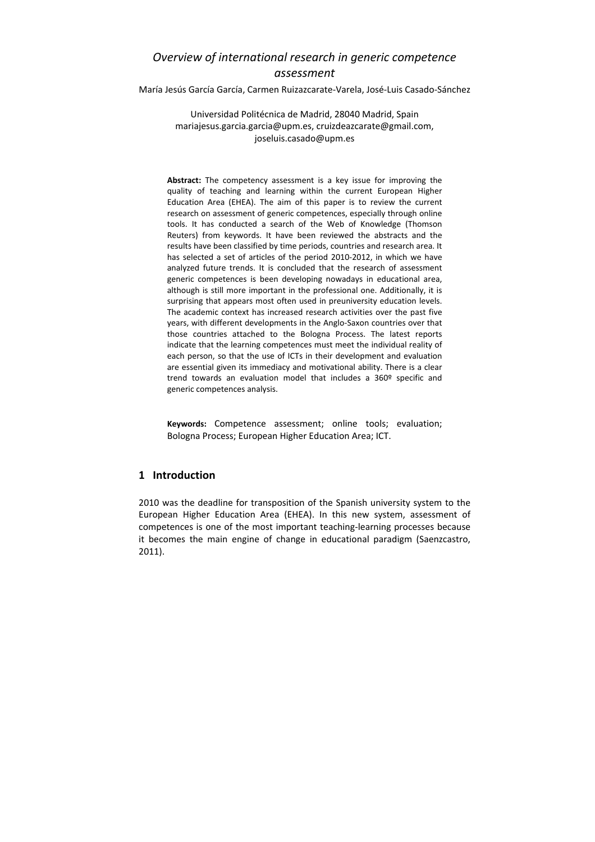# *Overview of international research in generic competence assessment*

María Jesús García García, Carmen Ruizazcarate‐Varela, José‐Luis Casado‐Sánchez

Universidad Politécnica de Madrid, 28040 Madrid, Spain mariajesus.garcia.garcia@upm.es, cruizdeazcarate@gmail.com, joseluis.casado@upm.es

**Abstract:** The competency assessment is a key issue for improving the quality of teaching and learning within the current European Higher Education Area (EHEA). The aim of this paper is to review the current research on assessment of generic competences, especially through online tools. It has conducted a search of the Web of Knowledge (Thomson Reuters) from keywords. It have been reviewed the abstracts and the results have been classified by time periods, countries and research area. It has selected a set of articles of the period 2010‐2012, in which we have analyzed future trends. It is concluded that the research of assessment generic competences is been developing nowadays in educational area, although is still more important in the professional one. Additionally, it is surprising that appears most often used in preuniversity education levels. The academic context has increased research activities over the past five years, with different developments in the Anglo‐Saxon countries over that those countries attached to the Bologna Process. The latest reports indicate that the learning competences must meet the individual reality of each person, so that the use of ICTs in their development and evaluation are essential given its immediacy and motivational ability. There is a clear trend towards an evaluation model that includes a 360º specific and generic competences analysis.

**Keywords:** Competence assessment; online tools; evaluation; Bologna Process; European Higher Education Area; ICT.

# **1 Introduction**

2010 was the deadline for transposition of the Spanish university system to the European Higher Education Area (EHEA). In this new system, assessment of competences is one of the most important teaching‐learning processes because it becomes the main engine of change in educational paradigm (Saenzcastro, 2011).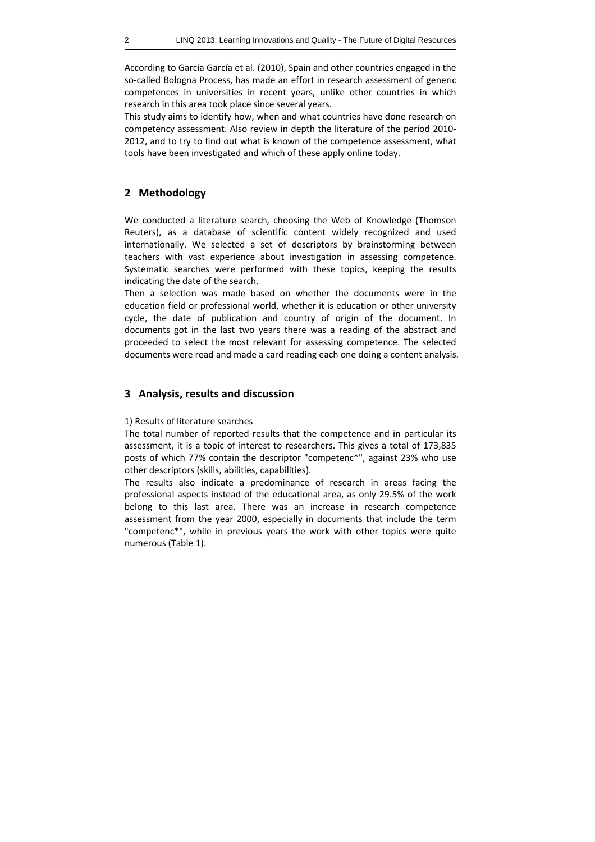According to García García et al. (2010), Spain and other countries engaged in the so-called Bologna Process, has made an effort in research assessment of generic competences in universities in recent years, unlike other countries in which research in this area took place since several years.

This study aims to identify how, when and what countries have done research on competency assessment. Also review in depth the literature of the period 2010‐ 2012, and to try to find out what is known of the competence assessment, what tools have been investigated and which of these apply online today.

## **2 Methodology**

We conducted a literature search, choosing the Web of Knowledge (Thomson Reuters), as a database of scientific content widely recognized and used internationally. We selected a set of descriptors by brainstorming between teachers with vast experience about investigation in assessing competence. Systematic searches were performed with these topics, keeping the results indicating the date of the search.

Then a selection was made based on whether the documents were in the education field or professional world, whether it is education or other university cycle, the date of publication and country of origin of the document. In documents got in the last two years there was a reading of the abstract and proceeded to select the most relevant for assessing competence. The selected documents were read and made a card reading each one doing a content analysis.

#### **3 Analysis, results and discussion**

#### 1) Results of literature searches

The total number of reported results that the competence and in particular its assessment, it is a topic of interest to researchers. This gives a total of 173,835 posts of which 77% contain the descriptor "competenc\*", against 23% who use other descriptors (skills, abilities, capabilities).

The results also indicate a predominance of research in areas facing the professional aspects instead of the educational area, as only 29.5% of the work belong to this last area. There was an increase in research competence assessment from the year 2000, especially in documents that include the term "competenc\*", while in previous years the work with other topics were quite numerous (Table 1).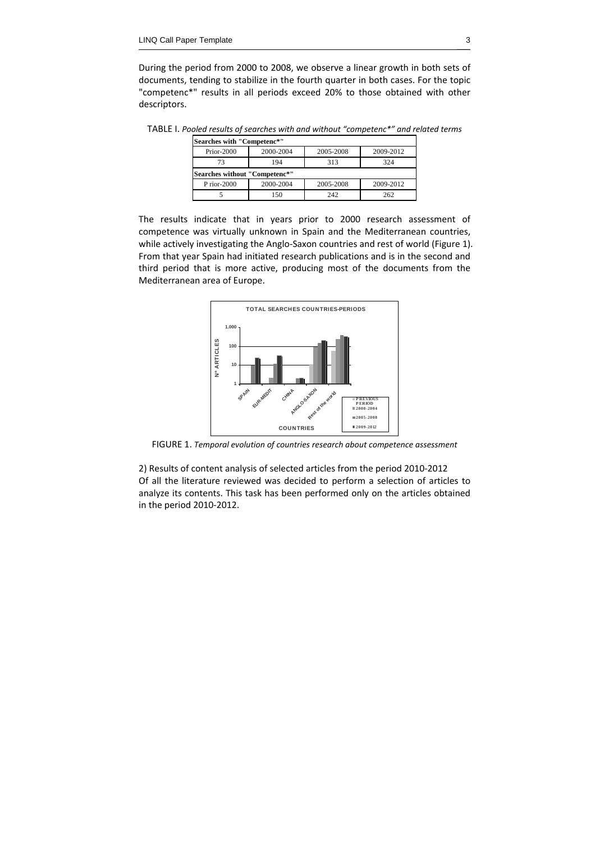During the period from 2000 to 2008, we observe a linear growth in both sets of documents, tending to stabilize in the fourth quarter in both cases. For the topic "competenc\*" results in all periods exceed 20% to those obtained with other descriptors.

TABLE I. *Pooled results of searches with and without "competenc\*" and related terms*

| Searches with "Competenc*"    |           |           |           |
|-------------------------------|-----------|-----------|-----------|
| Prior-2000                    | 2000-2004 | 2005-2008 | 2009-2012 |
| 73                            | 194       | 313       | 324       |
| Searches without "Competenc*" |           |           |           |
| $P$ rior-2000                 | 2000-2004 | 2005-2008 | 2009-2012 |
|                               |           |           | 262       |

The results indicate that in years prior to 2000 research assessment of competence was virtually unknown in Spain and the Mediterranean countries, while actively investigating the Anglo-Saxon countries and rest of world (Figure 1). From that year Spain had initiated research publications and is in the second and third period that is more active, producing most of the documents from the Mediterranean area of Europe.



FIGURE 1. *Temporal evolution of countries research about competence assessment*

2) Results of content analysis of selected articles from the period 2010‐2012 Of all the literature reviewed was decided to perform a selection of articles to analyze its contents. This task has been performed only on the articles obtained in the period 2010‐2012.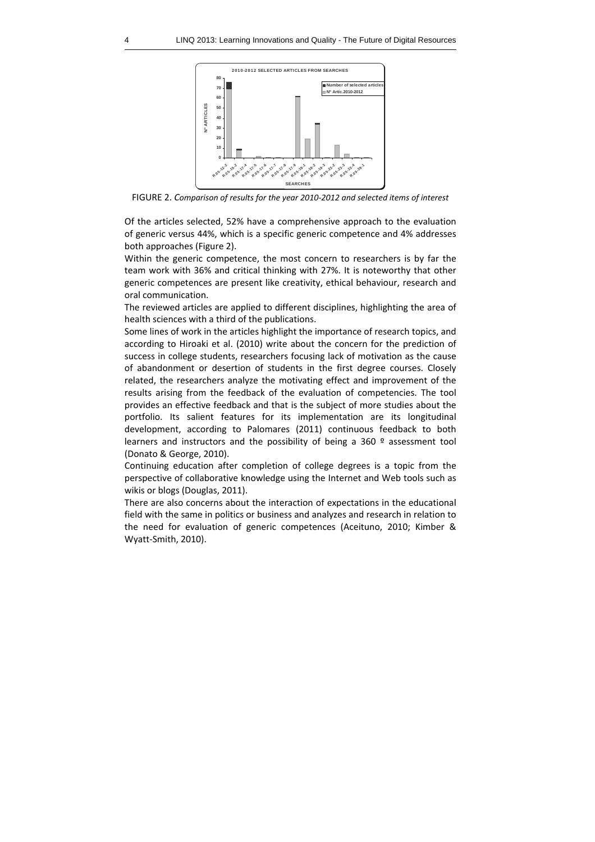

FIGURE 2. *Comparison of results for the year 2010‐2012 and selected items of interest*

Of the articles selected, 52% have a comprehensive approach to the evaluation of generic versus 44%, which is a specific generic competence and 4% addresses both approaches (Figure 2).

Within the generic competence, the most concern to researchers is by far the team work with 36% and critical thinking with 27%. It is noteworthy that other generic competences are present like creativity, ethical behaviour, research and oral communication.

The reviewed articles are applied to different disciplines, highlighting the area of health sciences with a third of the publications.

Some lines of work in the articles highlight the importance of research topics, and according to Hiroaki et al. (2010) write about the concern for the prediction of success in college students, researchers focusing lack of motivation as the cause of abandonment or desertion of students in the first degree courses. Closely related, the researchers analyze the motivating effect and improvement of the results arising from the feedback of the evaluation of competencies. The tool provides an effective feedback and that is the subject of more studies about the portfolio. Its salient features for its implementation are its longitudinal development, according to Palomares (2011) continuous feedback to both learners and instructors and the possibility of being a 360 º assessment tool (Donato & George, 2010).

Continuing education after completion of college degrees is a topic from the perspective of collaborative knowledge using the Internet and Web tools such as wikis or blogs (Douglas, 2011).

There are also concerns about the interaction of expectations in the educational field with the same in politics or business and analyzes and research in relation to the need for evaluation of generic competences (Aceituno, 2010; Kimber & Wyatt‐Smith, 2010).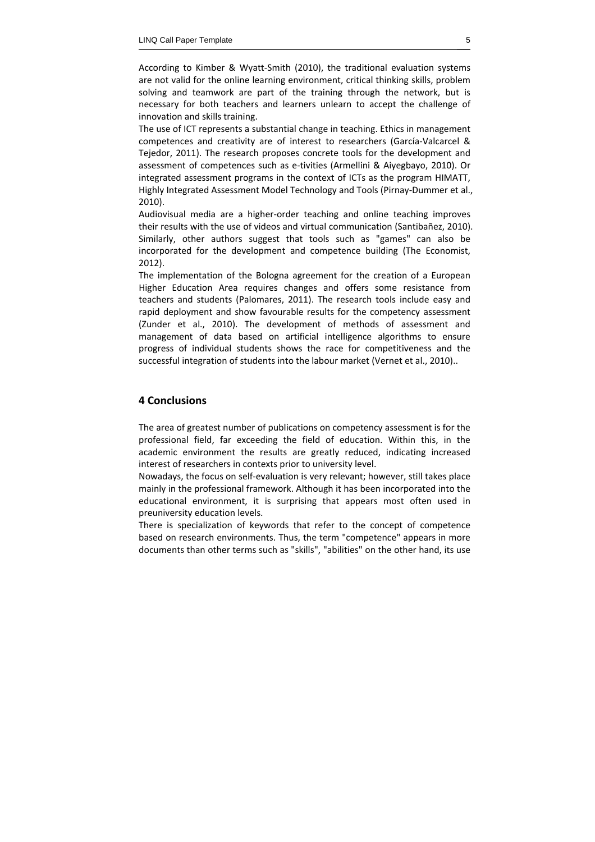According to Kimber & Wyatt‐Smith (2010), the traditional evaluation systems are not valid for the online learning environment, critical thinking skills, problem solving and teamwork are part of the training through the network, but is necessary for both teachers and learners unlearn to accept the challenge of innovation and skills training.

The use of ICT represents a substantial change in teaching. Ethics in management competences and creativity are of interest to researchers (García‐Valcarcel & Tejedor, 2011). The research proposes concrete tools for the development and assessment of competences such as e‐tivities (Armellini & Aiyegbayo, 2010). Or integrated assessment programs in the context of ICTs as the program HIMATT, Highly Integrated Assessment Model Technology and Tools (Pirnay‐Dummer et al., 2010).

Audiovisual media are a higher‐order teaching and online teaching improves their results with the use of videos and virtual communication (Santibañez, 2010). Similarly, other authors suggest that tools such as "games" can also be incorporated for the development and competence building (The Economist, 2012).

The implementation of the Bologna agreement for the creation of a European Higher Education Area requires changes and offers some resistance from teachers and students (Palomares, 2011). The research tools include easy and rapid deployment and show favourable results for the competency assessment (Zunder et al., 2010). The development of methods of assessment and management of data based on artificial intelligence algorithms to ensure progress of individual students shows the race for competitiveness and the successful integration of students into the labour market (Vernet et al., 2010)..

## **4 Conclusions**

The area of greatest number of publications on competency assessment is for the professional field, far exceeding the field of education. Within this, in the academic environment the results are greatly reduced, indicating increased interest of researchers in contexts prior to university level.

Nowadays, the focus on self‐evaluation is very relevant; however, still takes place mainly in the professional framework. Although it has been incorporated into the educational environment, it is surprising that appears most often used in preuniversity education levels.

There is specialization of keywords that refer to the concept of competence based on research environments. Thus, the term "competence" appears in more documents than other terms such as "skills", "abilities" on the other hand, its use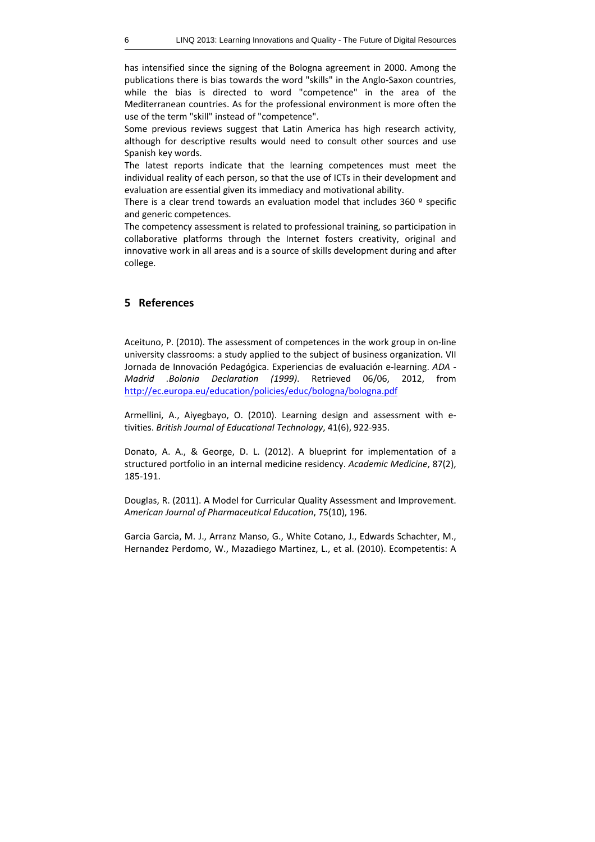has intensified since the signing of the Bologna agreement in 2000. Among the publications there is bias towards the word "skills" in the Anglo‐Saxon countries, while the bias is directed to word "competence" in the area of the Mediterranean countries. As for the professional environment is more often the use of the term "skill" instead of "competence".

Some previous reviews suggest that Latin America has high research activity, although for descriptive results would need to consult other sources and use Spanish key words.

The latest reports indicate that the learning competences must meet the individual reality of each person, so that the use of ICTs in their development and evaluation are essential given its immediacy and motivational ability.

There is a clear trend towards an evaluation model that includes 360 º specific and generic competences.

The competency assessment is related to professional training, so participation in collaborative platforms through the Internet fosters creativity, original and innovative work in all areas and is a source of skills development during and after college.

## **5 References**

Aceituno, P. (2010). The assessment of competences in the work group in on‐line university classrooms: a study applied to the subject of business organization. VII Jornada de Innovación Pedagógica. Experiencias de evaluación e‐learning. *ADA ‐ Madrid .Bolonia Declaration (1999)*. Retrieved 06/06, 2012, from http://ec.europa.eu/education/policies/educ/bologna/bologna.pdf

Armellini, A., Aiyegbayo, O. (2010). Learning design and assessment with e‐ tivities. *British Journal of Educational Technology*, 41(6), 922‐935.

Donato, A. A., & George, D. L. (2012). A blueprint for implementation of a structured portfolio in an internal medicine residency. *Academic Medicine*, 87(2), 185‐191.

Douglas, R. (2011). A Model for Curricular Quality Assessment and Improvement. *American Journal of Pharmaceutical Education*, 75(10), 196.

Garcia Garcia, M. J., Arranz Manso, G., White Cotano, J., Edwards Schachter, M., Hernandez Perdomo, W., Mazadiego Martinez, L., et al. (2010). Ecompetentis: A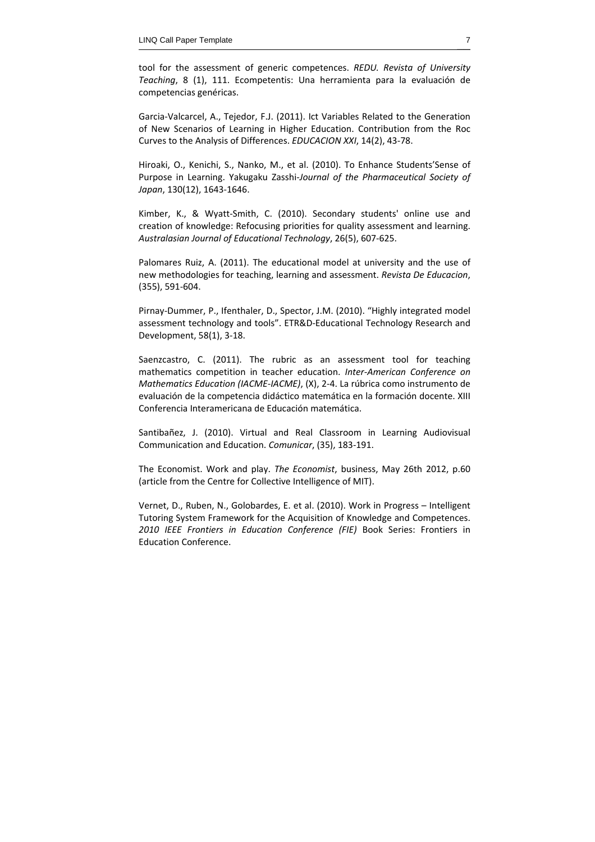tool for the assessment of generic competences. *REDU. Revista of University Teaching*, 8 (1), 111. Ecompetentis: Una herramienta para la evaluación de competencias genéricas.

Garcia‐Valcarcel, A., Tejedor, F.J. (2011). Ict Variables Related to the Generation of New Scenarios of Learning in Higher Education. Contribution from the Roc Curves to the Analysis of Differences. *EDUCACION XXI*, 14(2), 43‐78.

Hiroaki, O., Kenichi, S., Nanko, M., et al. (2010). To Enhance Students'Sense of Purpose in Learning. Yakugaku Zasshi‐*Journal of the Pharmaceutical Society of Japan*, 130(12), 1643‐1646.

Kimber, K., & Wyatt‐Smith, C. (2010). Secondary students' online use and creation of knowledge: Refocusing priorities for quality assessment and learning. *Australasian Journal of Educational Technology*, 26(5), 607‐625.

Palomares Ruiz, A. (2011). The educational model at university and the use of new methodologies for teaching, learning and assessment. *Revista De Educacion*, (355), 591‐604.

Pirnay‐Dummer, P., Ifenthaler, D., Spector, J.M. (2010). "Highly integrated model assessment technology and tools". ETR&D‐Educational Technology Research and Development, 58(1), 3‐18.

Saenzcastro, C. (2011). The rubric as an assessment tool for teaching mathematics competition in teacher education. *Inter‐American Conference on Mathematics Education (IACME‐IACME)*, (X), 2‐4. La rúbrica como instrumento de evaluación de la competencia didáctico matemática en la formación docente. XIII Conferencia Interamericana de Educación matemática.

Santibañez, J. (2010). Virtual and Real Classroom in Learning Audiovisual Communication and Education. *Comunicar*, (35), 183‐191.

The Economist. Work and play. *The Economist*, business, May 26th 2012, p.60 (article from the Centre for Collective Intelligence of MIT).

Vernet, D., Ruben, N., Golobardes, E. et al. (2010). Work in Progress – Intelligent Tutoring System Framework for the Acquisition of Knowledge and Competences. *2010 IEEE Frontiers in Education Conference (FIE)* Book Series: Frontiers in Education Conference.